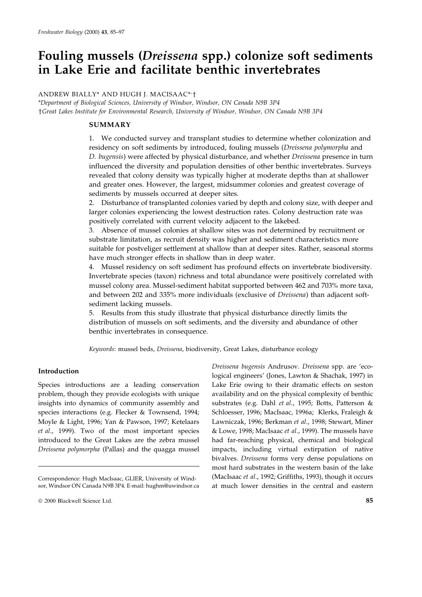# Fouling mussels (Dreissena spp.) colonize soft sediments in Lake Erie and facilitate benthic invertebrates

## ANDREW BIALLY\* AND HUGH J. MACISAAC\*'<sup>†</sup>

\*Department of Biological Sciences, University of Windsor, Windsor, ON Canada N9B 3P4 yGreat Lakes Institute for Environmental Research, University of Windsor, Windsor, ON Canada N9B 3P4

## SUMMARY

1. We conducted survey and transplant studies to determine whether colonization and residency on soft sediments by introduced, fouling mussels (Dreissena polymorpha and D. bugensis) were affected by physical disturbance, and whether Dreissena presence in turn influenced the diversity and population densities of other benthic invertebrates. Surveys revealed that colony density was typically higher at moderate depths than at shallower and greater ones. However, the largest, midsummer colonies and greatest coverage of sediments by mussels occurred at deeper sites.

2. Disturbance of transplanted colonies varied by depth and colony size, with deeper and larger colonies experiencing the lowest destruction rates. Colony destruction rate was positively correlated with current velocity adjacent to the lakebed.

3. Absence of mussel colonies at shallow sites was not determined by recruitment or substrate limitation, as recruit density was higher and sediment characteristics more suitable for postveliger settlement at shallow than at deeper sites. Rather, seasonal storms have much stronger effects in shallow than in deep water.

4. Mussel residency on soft sediment has profound effects on invertebrate biodiversity. Invertebrate species (taxon) richness and total abundance were positively correlated with mussel colony area. Mussel-sediment habitat supported between 462 and 703% more taxa, and between 202 and 335% more individuals (exclusive of Dreissena) than adjacent softsediment lacking mussels.

5. Results from this study illustrate that physical disturbance directly limits the distribution of mussels on soft sediments, and the diversity and abundance of other benthic invertebrates in consequence.

Keywords: mussel beds, Dreissena, biodiversity, Great Lakes, disturbance ecology

## Introduction

Species introductions are a leading conservation problem, though they provide ecologists with unique insights into dynamics of community assembly and species interactions (e.g. Flecker & Townsend, 1994; Moyle & Light, 1996; Yan & Pawson, 1997; Ketelaars et al., 1999). Two of the most important species introduced to the Great Lakes are the zebra mussel Dreissena polymorpha (Pallas) and the quagga mussel

Dreissena bugensis Andrusov. Dreissena spp. are `ecological engineers' (Jones, Lawton & Shachak, 1997) in Lake Erie owing to their dramatic effects on seston availability and on the physical complexity of benthic substrates (e.g. Dahl et al., 1995; Botts, Patterson & Schloesser, 1996; MacIsaac, 1996a; Klerks, Fraleigh & Lawniczak, 1996; Berkman et al., 1998; Stewart, Miner & Lowe, 1998; MacIsaac et al., 1999). The mussels have had far-reaching physical, chemical and biological impacts, including virtual extirpation of native bivalves. Dreissena forms very dense populations on most hard substrates in the western basin of the lake (MacIsaac et al., 1992; Griffiths, 1993), though it occurs at much lower densities in the central and eastern

Correspondence: Hugh MacIsaac, GLIER, University of Windsor, Windsor ON Canada N9B 3P4. E-mail: hughm@uwindsor.ca

ã 2000 Blackwell Science Ltd. 85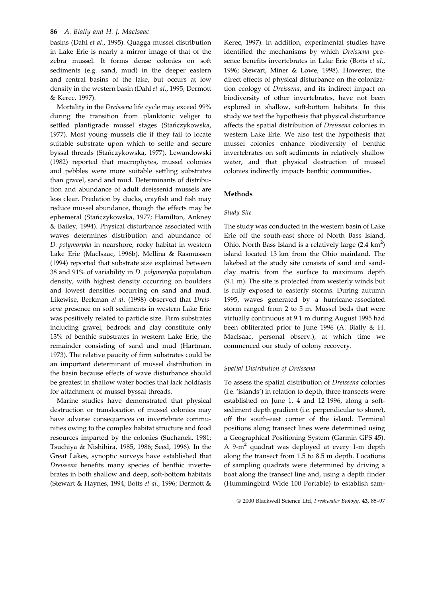basins (Dahl et al., 1995). Quagga mussel distribution in Lake Erie is nearly a mirror image of that of the zebra mussel. It forms dense colonies on soft sediments (e.g. sand, mud) in the deeper eastern and central basins of the lake, but occurs at low density in the western basin (Dahl et al., 1995; Dermott & Kerec, 1997).

Mortality in the Dreissena life cycle may exceed 99% during the transition from planktonic veliger to settled plantigrade mussel stages (Stańczykowska, 1977). Most young mussels die if they fail to locate suitable substrate upon which to settle and secure byssal threads (Stańczykowska, 1977). Lewandowski (1982) reported that macrophytes, mussel colonies and pebbles were more suitable settling substrates than gravel, sand and mud. Determinants of distribution and abundance of adult dreissenid mussels are less clear. Predation by ducks, crayfish and fish may reduce mussel abundance, though the effects may be ephemeral (Stańczykowska, 1977; Hamilton, Ankney & Bailey, 1994). Physical disturbance associated with waves determines distribution and abundance of D. polymorpha in nearshore, rocky habitat in western Lake Erie (MacIsaac, 1996b). Mellina & Rasmussen (1994) reported that substrate size explained between 38 and 91% of variability in D. polymorpha population density, with highest density occurring on boulders and lowest densities occurring on sand and mud. Likewise, Berkman et al. (1998) observed that Dreissena presence on soft sediments in western Lake Erie was positively related to particle size. Firm substrates including gravel, bedrock and clay constitute only 13% of benthic substrates in western Lake Erie, the remainder consisting of sand and mud (Hartman, 1973). The relative paucity of firm substrates could be an important determinant of mussel distribution in the basin because effects of wave disturbance should be greatest in shallow water bodies that lack holdfasts for attachment of mussel byssal threads.

Marine studies have demonstrated that physical destruction or translocation of mussel colonies may have adverse consequences on invertebrate communities owing to the complex habitat structure and food resources imparted by the colonies (Suchanek, 1981; Tsuchiya & Nishihira, 1985, 1986; Seed, 1996). In the Great Lakes, synoptic surveys have established that Dreissena benefits many species of benthic invertebrates in both shallow and deep, soft-bottom habitats (Stewart & Haynes, 1994; Botts et al., 1996; Dermott &

Kerec, 1997). In addition, experimental studies have identified the mechanisms by which Dreissena presence benefits invertebrates in Lake Erie (Botts et al., 1996; Stewart, Miner & Lowe, 1998). However, the direct effects of physical disturbance on the colonization ecology of Dreissena, and its indirect impact on biodiversity of other invertebrates, have not been explored in shallow, soft-bottom habitats. In this study we test the hypothesis that physical disturbance affects the spatial distribution of Dreissena colonies in western Lake Erie. We also test the hypothesis that mussel colonies enhance biodiversity of benthic invertebrates on soft sediments in relatively shallow water, and that physical destruction of mussel colonies indirectly impacts benthic communities.

#### Methods

#### Study Site

The study was conducted in the western basin of Lake Erie off the south-east shore of North Bass Island, Ohio. North Bass Island is a relatively large  $(2.4 \text{ km}^2)$ island located 13 km from the Ohio mainland. The lakebed at the study site consists of sand and sandclay matrix from the surface to maximum depth (9.1 m). The site is protected from westerly winds but is fully exposed to easterly storms. During autumn 1995, waves generated by a hurricane-associated storm ranged from 2 to 5 m. Mussel beds that were virtually continuous at 9.1 m during August 1995 had been obliterated prior to June 1996 (A. Bially & H. MacIsaac, personal observ.), at which time we commenced our study of colony recovery.

#### Spatial Distribution of Dreissena

To assess the spatial distribution of Dreissena colonies (i.e. `islands') in relation to depth, three transects were established on June 1, 4 and 12 1996, along a softsediment depth gradient (i.e. perpendicular to shore), off the south-east corner of the island. Terminal positions along transect lines were determined using a Geographical Positioning System (Garmin GPS 45). A 9-m<sup>2</sup> quadrat was deployed at every 1-m depth along the transect from 1.5 to 8.5 m depth. Locations of sampling quadrats were determined by driving a boat along the transect line and, using a depth finder (Hummingbird Wide 100 Portable) to establish sam-

<sup>© 2000</sup> Blackwell Science Ltd, Freshwater Biology, 43, 85-97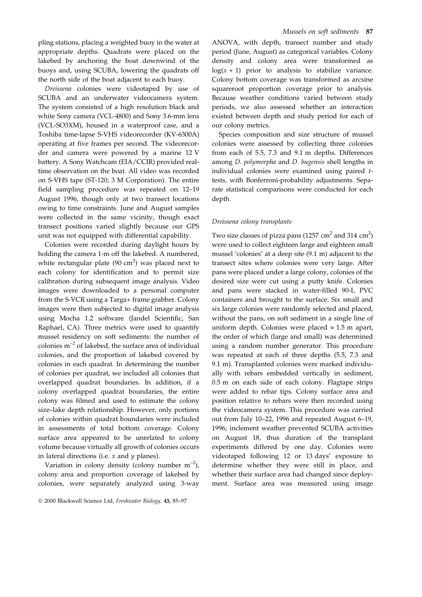pling stations, placing a weighted buoy in the water at appropriate depths. Quadrats were placed on the lakebed by anchoring the boat downwind of the buoys and, using SCUBA, lowering the quadrats off the north side of the boat adjacent to each buoy.

Dreissena colonies were videotaped by use of SCUBA and an underwater videocamera system. The system consisted of a high resolution black and white Sony camera (VCL-4800) and Sony 3.6-mm lens (VCL-SO3XM), housed in a waterproof case, and a Toshiba time-lapse S-VHS videorecorder (KV-6300A) operating at five frames per second. The videorecorder and camera were powered by a marine 12 V battery. A Sony Watchcam (EIA/CCIR) provided realtime observation on the boat. All video was recorded on S-VHS tape (ST-120; 3 M Corporation). The entire field sampling procedure was repeated on 12-19 August 1996, though only at two transect locations owing to time constraints. June and August samples were collected in the same vicinity, though exact transect positions varied slightly because our GPS unit was not equipped with differential capability.

Colonies were recorded during daylight hours by holding the camera 1-m off the lakebed. A numbered, white rectangular plate  $(90 \text{ cm}^2)$  was placed next to each colony for identification and to permit size calibration during subsequent image analysis. Video images were downloaded to a personal computer from the S-VCR using a Targa+ frame grabber. Colony images were then subjected to digital image analysis using Mocha 1.2 software (Jandel Scientific, San Raphael, CA). Three metrics were used to quantify mussel residency on soft sediments: the number of colonies  $m^{-2}$  of lakebed, the surface area of individual colonies, and the proportion of lakebed covered by colonies in each quadrat. In determining the number of colonies per quadrat, we included all colonies that overlapped quadrat boundaries. In addition, if a colony overlapped quadrat boundaries, the entire colony was filmed and used to estimate the colony size-lake depth relationship. However, only portions of colonies within quadrat boundaries were included in assessments of total bottom coverage. Colony surface area appeared to be unrelated to colony volume because virtually all growth of colonies occurs in lateral directions (i.e.  $x$  and  $y$  planes).

Variation in colony density (colony number  $m^{-2}$ ), colony area and proportion coverage of lakebed by colonies, were separately analyzed using 3-way

#### Mussels on soft sediments 87

ANOVA, with depth, transect number and study period (June, August) as categorical variables. Colony density and colony area were transformed as  $log(x + 1)$  prior to analysis to stabilize variance. Colony bottom coverage was transformed as arcsine squareroot proportion coverage prior to analysis. Because weather conditions varied between study periods, we also assessed whether an interaction existed between depth and study period for each of our colony metrics.

Species composition and size structure of mussel colonies were assessed by collecting three colonies from each of 5.5, 7.3 and 9.1 m depths. Differences among D. polymorpha and D. bugensis shell lengths in individual colonies were examined using paired ttests, with Bonferroni-probability adjustments. Separate statistical comparisons were conducted for each depth.

#### Dreissena colony transplants

Two size classes of pizza pans (1257  $\text{cm}^2$  and 314  $\text{cm}^2$ ) were used to collect eighteen large and eighteen small mussel 'colonies' at a deep site (9.1 m) adjacent to the transect sites where colonies were very large. After pans were placed under a large colony, colonies of the desired size were cut using a putty knife. Colonies and pans were stacked in water-filled 90-L PVC containers and brought to the surface. Six small and six large colonies were randomly selected and placed, without the pans, on soft sediment in a single line of uniform depth. Colonies were placed  $\approx 1.5$  m apart, the order of which (large and small) was determined using a random number generator. This procedure was repeated at each of three depths (5.5, 7.3 and 9.1 m). Transplanted colonies were marked individually with rebars embedded vertically in sediment, 0.5 m on each side of each colony. Flagtape strips were added to rebar tips. Colony surface area and position relative to rebars were then recorded using the videocamera system. This procedure was carried out from July 10-22, 1996 and repeated August 6-19, 1996; inclement weather prevented SCUBA activities on August 18, thus duration of the transplant experiments differed by one day. Colonies were videotaped following 12 or 13 days' exposure to determine whether they were still in place, and whether their surface area had changed since deployment. Surface area was measured using image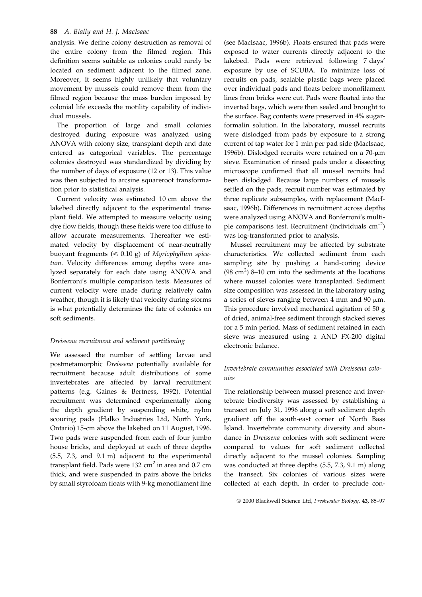analysis. We define colony destruction as removal of the entire colony from the filmed region. This definition seems suitable as colonies could rarely be located on sediment adjacent to the filmed zone. Moreover, it seems highly unlikely that voluntary movement by mussels could remove them from the filmed region because the mass burden imposed by colonial life exceeds the motility capability of individual mussels.

The proportion of large and small colonies destroyed during exposure was analyzed using ANOVA with colony size, transplant depth and date entered as categorical variables. The percentage colonies destroyed was standardized by dividing by the number of days of exposure (12 or 13). This value was then subjected to arcsine squareroot transformation prior to statistical analysis.

Current velocity was estimated 10 cm above the lakebed directly adjacent to the experimental transplant field. We attempted to measure velocity using dye flow fields, though these fields were too diffuse to allow accurate measurements. Thereafter we estimated velocity by displacement of near-neutrally buoyant fragments ( $\leq 0.10$  g) of Myriophyllum spicatum. Velocity differences among depths were analyzed separately for each date using ANOVA and Bonferroni's multiple comparison tests. Measures of current velocity were made during relatively calm weather, though it is likely that velocity during storms is what potentially determines the fate of colonies on soft sediments.

## Dreissena recruitment and sediment partitioning

We assessed the number of settling larvae and postmetamorphic Dreissena potentially available for recruitment because adult distributions of some invertebrates are affected by larval recruitment patterns (e.g. Gaines & Bertness, 1992). Potential recruitment was determined experimentally along the depth gradient by suspending white, nylon scouring pads (Halko Industries Ltd, North York, Ontario) 15-cm above the lakebed on 11 August, 1996. Two pads were suspended from each of four jumbo house bricks, and deployed at each of three depths (5.5, 7.3, and 9.1 m) adjacent to the experimental transplant field. Pads were  $132 \text{ cm}^2$  in area and 0.7 cm thick, and were suspended in pairs above the bricks by small styrofoam floats with 9-kg monofilament line

(see MacIsaac, 1996b). Floats ensured that pads were exposed to water currents directly adjacent to the lakebed. Pads were retrieved following 7 days' exposure by use of SCUBA. To minimize loss of recruits on pads, sealable plastic bags were placed over individual pads and floats before monofilament lines from bricks were cut. Pads were floated into the inverted bags, which were then sealed and brought to the surface. Bag contents were preserved in 4% sugarformalin solution. In the laboratory, mussel recruits were dislodged from pads by exposure to a strong current of tap water for 1 min per pad side (MacIsaac, 1996b). Dislodged recruits were retained on a  $70$ - $\mu$ m sieve. Examination of rinsed pads under a dissecting microscope confirmed that all mussel recruits had been dislodged. Because large numbers of mussels settled on the pads, recruit number was estimated by three replicate subsamples, with replacement (MacIsaac, 1996b). Differences in recruitment across depths were analyzed using ANOVA and Bonferroni's multiple comparisons test. Recruitment (individuals  $cm^{-2}$ ) was log-transformed prior to analysis.

Mussel recruitment may be affected by substrate characteristics. We collected sediment from each sampling site by pushing a hand-coring device  $(98 \text{ cm}^2)$  8-10 cm into the sediments at the locations where mussel colonies were transplanted. Sediment size composition was assessed in the laboratory using a series of sieves ranging between 4 mm and 90  $\mu$ m. This procedure involved mechanical agitation of 50 g of dried, animal-free sediment through stacked sieves for a 5 min period. Mass of sediment retained in each sieve was measured using a AND FX-200 digital electronic balance.

## Invertebrate communities associated with Dreissena colonies

The relationship between mussel presence and invertebrate biodiversity was assessed by establishing a transect on July 31, 1996 along a soft sediment depth gradient off the south-east corner of North Bass Island. Invertebrate community diversity and abundance in Dreissena colonies with soft sediment were compared to values for soft sediment collected directly adjacent to the mussel colonies. Sampling was conducted at three depths (5.5, 7.3, 9.1 m) along the transect. Six colonies of various sizes were collected at each depth. In order to preclude con-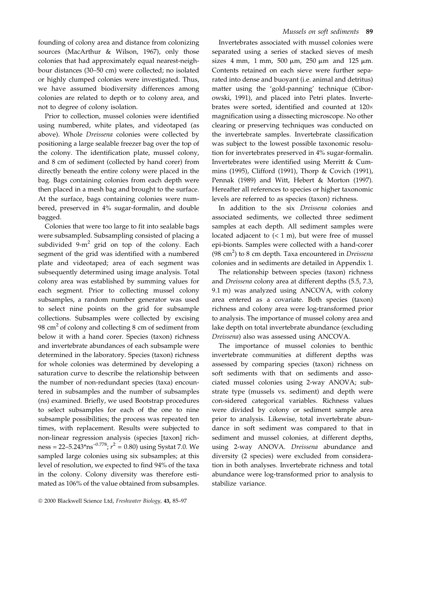founding of colony area and distance from colonizing sources (MacArthur & Wilson, 1967), only those colonies that had approximately equal nearest-neighbour distances (30-50 cm) were collected; no isolated or highly clumped colonies were investigated. Thus, we have assumed biodiversity differences among colonies are related to depth or to colony area, and not to degree of colony isolation.

Prior to collection, mussel colonies were identified using numbered, white plates, and videotaped (as above). Whole Dreissena colonies were collected by positioning a large sealable freezer bag over the top of the colony. The identification plate, mussel colony, and 8 cm of sediment (collected by hand corer) from directly beneath the entire colony were placed in the bag. Bags containing colonies from each depth were then placed in a mesh bag and brought to the surface. At the surface, bags containing colonies were numbered, preserved in 4% sugar-formalin, and double bagged.

Colonies that were too large to fit into sealable bags were subsampled. Subsampling consisted of placing a subdivided  $9-m^2$  grid on top of the colony. Each segment of the grid was identified with a numbered plate and videotaped; area of each segment was subsequently determined using image analysis. Total colony area was established by summing values for each segment. Prior to collecting mussel colony subsamples, a random number generator was used to select nine points on the grid for subsample collections. Subsamples were collected by excising 98  $\text{cm}^2$  of colony and collecting 8 cm of sediment from below it with a hand corer. Species (taxon) richness and invertebrate abundances of each subsample were determined in the laboratory. Species (taxon) richness for whole colonies was determined by developing a saturation curve to describe the relationship between the number of non-redundant species (taxa) encountered in subsamples and the number of subsamples (ns) examined. Briefly, we used Bootstrap procedures to select subsamples for each of the one to nine subsample possibilities; the process was repeated ten times, with replacement. Results were subjected to non-linear regression analysis (species [taxon] richness = 22–5.243\*ns<sup>-0.778</sup>;  $r^2 = 0.80$ ) using Systat 7.0. We sampled large colonies using six subsamples; at this level of resolution, we expected to find 94% of the taxa in the colony. Colony diversity was therefore estimated as 106% of the value obtained from subsamples.

Invertebrates associated with mussel colonies were separated using a series of stacked sieves of mesh sizes 4 mm, 1 mm, 500  $\mu$ m, 250  $\mu$ m and 125  $\mu$ m. Contents retained on each sieve were further separated into dense and buoyant (i.e. animal and detritus) matter using the 'gold-panning' technique (Ciborowski, 1991), and placed into Petri plates. Invertebrates were sorted, identified and counted at  $120\times$ magnification using a dissecting microscope. No other clearing or preserving techniques was conducted on the invertebrate samples. Invertebrate classification was subject to the lowest possible taxonomic resolution for invertebrates preserved in 4% sugar-formalin. Invertebrates were identified using Merritt & Cummins (1995), Clifford (1991), Thorp & Covich (1991), Pennak (1989) and Witt, Hebert & Morton (1997). Hereafter all references to species or higher taxonomic levels are referred to as species (taxon) richness.

In addition to the six Dreissena colonies and associated sediments, we collected three sediment samples at each depth. All sediment samples were located adjacent to  $(< 1 \text{ m})$ , but were free of mussel epi-bionts. Samples were collected with a hand-corer (98 cm<sup>2</sup>) to 8 cm depth. Taxa encountered in *Dreissena* colonies and in sediments are detailed in Appendix 1.

The relationship between species (taxon) richness and Dreissena colony area at different depths (5.5, 7.3, 9.1 m) was analyzed using ANCOVA, with colony area entered as a covariate. Both species (taxon) richness and colony area were log-transformed prior to analysis. The importance of mussel colony area and lake depth on total invertebrate abundance (excluding Dreissena) also was assessed using ANCOVA.

The importance of mussel colonies to benthic invertebrate communities at different depths was assessed by comparing species (taxon) richness on soft sediments with that on sediments and associated mussel colonies using 2-way ANOVA; substrate type (mussels vs. sediment) and depth were con-sidered categorical variables. Richness values were divided by colony or sediment sample area prior to analysis. Likewise, total invertebrate abundance in soft sediment was compared to that in sediment and mussel colonies, at different depths, using 2-way ANOVA. Dreissena abundance and diversity (2 species) were excluded from consideration in both analyses. Invertebrate richness and total abundance were log-transformed prior to analysis to stabilize variance.

<sup>© 2000</sup> Blackwell Science Ltd, Freshwater Biology, 43, 85-97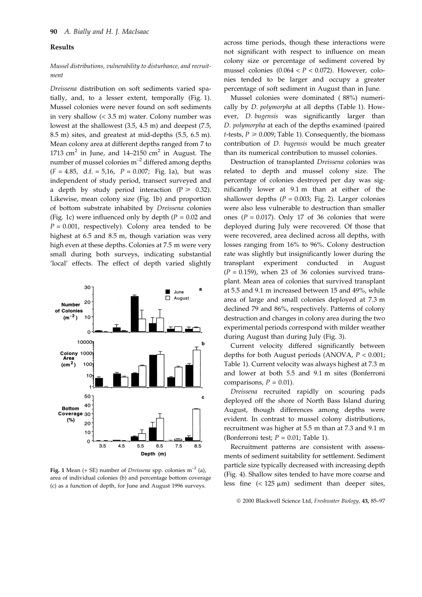#### Results

## Mussel distributions, vulnerability to disturbance, and recruitment

Dreissena distribution on soft sediments varied spatially, and, to a lesser extent, temporally (Fig. 1). Mussel colonies were never found on soft sediments in very shallow (< 3.5 m) water. Colony number was lowest at the shallowest (3.5, 4.5 m) and deepest (7.5, 8.5 m) sites, and greatest at mid-depths (5.5, 6.5 m). Mean colony area at different depths ranged from 7 to 1713 cm<sup>2</sup> in June, and 14–2150 cm<sup>2</sup> in August. The number of mussel colonies  $m^{-2}$  differed among depths  $(F = 4.85, d.f. = 5.16, P = 0.007; Fig. 1a)$ , but was independent of study period, transect surveyed and a depth by study period interaction ( $P \ge 0.32$ ). Likewise, mean colony size (Fig. 1b) and proportion of bottom substrate inhabited by Dreissena colonies (Fig. 1c) were influenced only by depth ( $P = 0.02$  and  $P = 0.001$ , respectively). Colony area tended to be highest at 6.5 and 8.5 m, though variation was very high even at these depths. Colonies at 7.5 m were very small during both surveys, indicating substantial 'local' effects. The effect of depth varied slightly



Fig. 1 Mean (+ SE) number of *Dreissena* spp. colonies  $m^{-2}$  (a), area of individual colonies (b) and percentage bottom coverage (c) as a function of depth, for June and August 1996 surveys.

across time periods, though these interactions were not significant with respect to influence on mean colony size or percentage of sediment covered by mussel colonies  $(0.064 < P < 0.072)$ . However, colonies tended to be larger and occupy a greater percentage of soft sediment in August than in June.

Mussel colonies were dominated ( 88%) numerically by D. polymorpha at all depths (Table 1). However, D. bugensis was significantly larger than D. polymorpha at each of the depths examined (paired *t*-tests,  $P \ge 0.009$ ; Table 1). Consequently, the biomass contribution of D. bugensis would be much greater than its numerical contribution to mussel colonies.

Destruction of transplanted Dreissena colonies was related to depth and mussel colony size. The percentage of colonies destroyed per day was significantly lower at 9.1 m than at either of the shallower depths ( $P = 0.003$ ; Fig. 2). Larger colonies were also less vulnerable to destruction than smaller ones ( $P = 0.017$ ). Only 17 of 36 colonies that were deployed during July were recovered. Of those that were recovered, area declined across all depths, with losses ranging from 16% to 96%. Colony destruction rate was slightly but insignificantly lower during the transplant experiment conducted in August  $(P = 0.159)$ , when 23 of 36 colonies survived transplant. Mean area of colonies that survived transplant at 5.5 and 9.1 m increased between 15 and 49%, while area of large and small colonies deployed at 7.3 m declined 79 and 86%, respectively. Patterns of colony destruction and changes in colony area during the two experimental periods correspond with milder weather during August than during July (Fig. 3).

Current velocity differed significantly between depths for both August periods (ANOVA, P < 0.001; Table 1). Current velocity was always highest at 7.3 m and lower at both 5.5 and 9.1 m sites (Bonferroni comparisons,  $P = 0.01$ ).

Dreissena recruited rapidly on scouring pads deployed off the shore of North Bass Island during August, though differences among depths were evident. In contrast to mussel colony distributions, recruitment was higher at 5.5 m than at 7.3 and 9.1 m (Bonferroni test;  $P = 0.01$ ; Table 1).

Recruitment patterns are consistent with assessments of sediment suitability for settlement. Sediment particle size typically decreased with increasing depth (Fig. 4). Shallow sites tended to have more coarse and less fine  $(< 125 \mu m)$  sediment than deeper sites,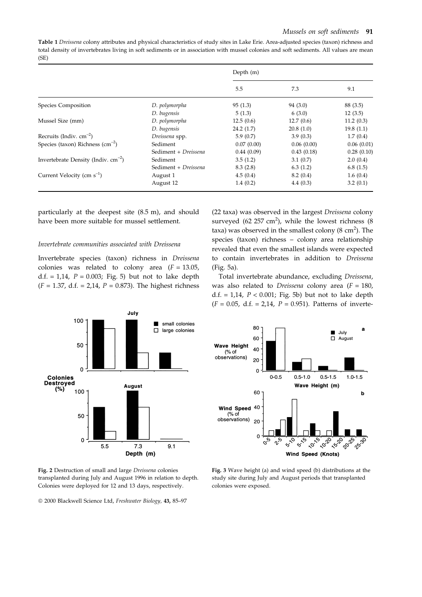Table 1 Dreissena colony attributes and physical characteristics of study sites in Lake Erie. Area-adjusted species (taxon) richness and total density of invertebrates living in soft sediments or in association with mussel colonies and soft sediments. All values are mean (SE)

|                                          |                      | Depth $(m)$ |            |            |
|------------------------------------------|----------------------|-------------|------------|------------|
|                                          |                      | 5.5         | 7.3        | 9.1        |
| Species Composition                      | D. polymorpha        | 95(1.3)     | 94 (3.0)   | 88 (3.5)   |
|                                          | D. bugensis          | 5(1.3)      | 6(3.0)     | 12(3.5)    |
| Mussel Size (mm)                         | D. polymorpha        | 12.5(0.6)   | 12.7(0.6)  | 11.2(0.3)  |
|                                          | D. bugensis          | 24.2(1.7)   | 20.8(1.0)  | 19.8(1.1)  |
| Recruits (Indiv. $cm^{-2}$ )             | Dreissena spp.       | 5.9(0.7)    | 3.9(0.3)   | 1.7(0.4)   |
| Species (taxon) Richness $\rm (cm^{-2})$ | Sediment             | 0.07(0.00)  | 0.06(0.00) | 0.06(0.01) |
|                                          | Sediment + Dreissena | 0.44(0.09)  | 0.43(0.18) | 0.28(0.10) |
| Invertebrate Density (Indiv. $cm^{-2}$ ) | Sediment             | 3.5(1.2)    | 3.1(0.7)   | 2.0(0.4)   |
|                                          | Sediment + Dreissena | 8.3(2.8)    | 6.3(1.2)   | 6.8(1.5)   |
| Current Velocity (cm $s^{-1}$ )          | August 1             | 4.5(0.4)    | 8.2(0.4)   | 1.6(0.4)   |
|                                          | August 12            | 1.4(0.2)    | 4.4(0.3)   | 3.2(0.1)   |

particularly at the deepest site (8.5 m), and should have been more suitable for mussel settlement.

#### Invertebrate communities associated with Dreissena

Invertebrate species (taxon) richness in Dreissena colonies was related to colony area  $(F = 13.05,$ d.f. = 1,14,  $P = 0.003$ ; Fig. 5) but not to lake depth  $(F = 1.37, d.f. = 2.14, P = 0.873)$ . The highest richness

(22 taxa) was observed in the largest Dreissena colony surveyed (62 $257 \text{ cm}^2$ ), while the lowest richness (8 taxa) was observed in the smallest colony (8  $\text{cm}^2$ ). The species (taxon) richness - colony area relationship revealed that even the smallest islands were expected to contain invertebrates in addition to Dreissena (Fig. 5a).

Total invertebrate abundance, excluding Dreissena, was also related to *Dreissena* colony area  $(F = 180)$ , d.f. = 1,14,  $P < 0.001$ ; Fig. 5b) but not to lake depth  $(F = 0.05, d.f. = 2.14, P = 0.951)$ . Patterns of inverte-



Fig. 2 Destruction of small and large Dreissena colonies transplanted during July and August 1996 in relation to depth. Colonies were deployed for 12 and 13 days, respectively.



Fig. 3 Wave height (a) and wind speed (b) distributions at the study site during July and August periods that transplanted colonies were exposed.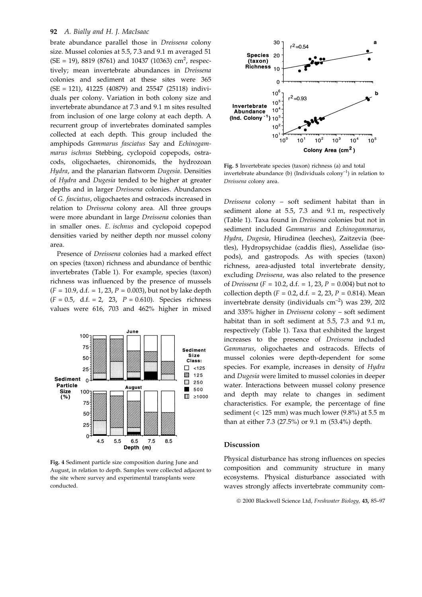brate abundance parallel those in Dreissena colony size. Mussel colonies at 5.5, 7.3 and 9.1 m averaged 51  $(SE = 19)$ , 8819 (8761) and 10437 (10363) cm<sup>2</sup>, respectively; mean invertebrate abundances in Dreissena colonies and sediment at these sites were 365 (SE = 121), 41225 (40879) and 25547 (25118) individuals per colony. Variation in both colony size and invertebrate abundance at 7.3 and 9.1 m sites resulted from inclusion of one large colony at each depth. A recurrent group of invertebrates dominated samples collected at each depth. This group included the amphipods Gammarus fasciatus Say and Echinogammarus ischnus Stebbing, cyclopoid copepods, ostracods, oligochaetes, chironomids, the hydrozoan Hydra, and the planarian flatworm Dugesia. Densities of Hydra and Dugesia tended to be higher at greater depths and in larger Dreissena colonies. Abundances of G. fasciatus, oligochaetes and ostracods increased in relation to Dreissena colony area. All three groups were more abundant in large Dreissena colonies than in smaller ones. E. ischnus and cyclopoid copepod densities varied by neither depth nor mussel colony area.

Presence of Dreissena colonies had a marked effect on species (taxon) richness and abundance of benthic invertebrates (Table 1). For example, species (taxon) richness was influenced by the presence of mussels  $(F = 10.9, d.f. = 1, 23, P = 0.003)$ , but not by lake depth  $(F = 0.5, d.f. = 2, 23, P = 0.610)$ . Species richness values were 616, 703 and 462% higher in mixed



Fig. 4 Sediment particle size composition during June and August, in relation to depth. Samples were collected adjacent to the site where survey and experimental transplants were conducted.



Fig. 5 Invertebrate species (taxon) richness (a) and total invertebrate abundance (b) (Individuals  $\text{colony}^{-1}$ ) in relation to Dreissena colony area.

Dreissena colony - soft sediment habitat than in sediment alone at 5.5, 7.3 and 9.1 m, respectively (Table 1). Taxa found in Dreissena colonies but not in sediment included Gammarus and Echinogammarus, Hydra, Dugesia, Hirudinea (leeches), Zaitzevia (beetles), Hydropsychidae (caddis flies), Asselidae (isopods), and gastropods. As with species (taxon) richness, area-adjusted total invertebrate density, excluding Dreissena, was also related to the presence of *Dreissena* ( $F = 10.2$ , d.f. = 1, 23,  $P = 0.004$ ) but not to collection depth ( $F = 0.2$ , d.f. = 2, 23,  $P = 0.814$ ). Mean invertebrate density (individuals  $cm^{-2}$ ) was 239, 202 and 335% higher in Dreissena colony  $-$  soft sediment habitat than in soft sediment at 5.5, 7.3 and 9.1 m, respectively (Table 1). Taxa that exhibited the largest increases to the presence of Dreissena included Gammarus, oligochaetes and ostracods. Effects of mussel colonies were depth-dependent for some species. For example, increases in density of Hydra and Dugesia were limited to mussel colonies in deeper water. Interactions between mussel colony presence and depth may relate to changes in sediment characteristics. For example, the percentage of fine sediment (< 125 mm) was much lower (9.8%) at 5.5 m than at either 7.3 (27.5%) or 9.1 m (53.4%) depth.

## Discussion

Physical disturbance has strong influences on species composition and community structure in many ecosystems. Physical disturbance associated with waves strongly affects invertebrate community com-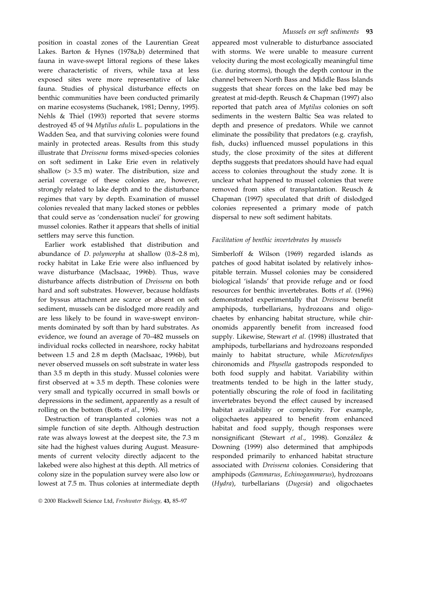position in coastal zones of the Laurentian Great Lakes. Barton & Hynes (1978a,b) determined that fauna in wave-swept littoral regions of these lakes were characteristic of rivers, while taxa at less exposed sites were more representative of lake fauna. Studies of physical disturbance effects on benthic communities have been conducted primarily on marine ecosystems (Suchanek, 1981; Denny, 1995). Nehls & Thiel (1993) reported that severe storms destroyed 45 of 94 Mytilus edulis L. populations in the Wadden Sea, and that surviving colonies were found mainly in protected areas. Results from this study illustrate that Dreissena forms mixed-species colonies on soft sediment in Lake Erie even in relatively shallow (> 3.5 m) water. The distribution, size and aerial coverage of these colonies are, however, strongly related to lake depth and to the disturbance regimes that vary by depth. Examination of mussel colonies revealed that many lacked stones or pebbles that could serve as 'condensation nuclei' for growing mussel colonies. Rather it appears that shells of initial settlers may serve this function.

Earlier work established that distribution and abundance of *D. polymorpha* at shallow  $(0.8-2.8 \text{ m})$ , rocky habitat in Lake Erie were also influenced by wave disturbance (MacIsaac, 1996b). Thus, wave disturbance affects distribution of Dreissena on both hard and soft substrates. However, because holdfasts for byssus attachment are scarce or absent on soft sediment, mussels can be dislodged more readily and are less likely to be found in wave-swept environments dominated by soft than by hard substrates. As evidence, we found an average of 70-482 mussels on individual rocks collected in nearshore, rocky habitat between 1.5 and 2.8 m depth (MacIsaac, 1996b), but never observed mussels on soft substrate in water less than 3.5 m depth in this study. Mussel colonies were first observed at  $\approx 3.5$  m depth. These colonies were very small and typically occurred in small bowls or depressions in the sediment, apparently as a result of rolling on the bottom (Botts et al., 1996).

Destruction of transplanted colonies was not a simple function of site depth. Although destruction rate was always lowest at the deepest site, the 7.3 m site had the highest values during August. Measurements of current velocity directly adjacent to the lakebed were also highest at this depth. All metrics of colony size in the population survey were also low or lowest at 7.5 m. Thus colonies at intermediate depth

appeared most vulnerable to disturbance associated with storms. We were unable to measure current velocity during the most ecologically meaningful time (i.e. during storms), though the depth contour in the channel between North Bass and Middle Bass Islands suggests that shear forces on the lake bed may be greatest at mid-depth. Reusch & Chapman (1997) also reported that patch area of Mytilus colonies on soft sediments in the western Baltic Sea was related to depth and presence of predators. While we cannot eliminate the possibility that predators (e.g. crayfish, fish, ducks) influenced mussel populations in this study, the close proximity of the sites at different depths suggests that predators should have had equal access to colonies throughout the study zone. It is unclear what happened to mussel colonies that were removed from sites of transplantation. Reusch & Chapman (1997) speculated that drift of dislodged colonies represented a primary mode of patch dispersal to new soft sediment habitats.

#### Facilitation of benthic invertebrates by mussels

Simberloff & Wilson (1969) regarded islands as patches of good habitat isolated by relatively inhospitable terrain. Mussel colonies may be considered biological 'islands' that provide refuge and or food resources for benthic invertebrates. Botts et al. (1996) demonstrated experimentally that Dreissena benefit amphipods, turbellarians, hydrozoans and oligochaetes by enhancing habitat structure, while chironomids apparently benefit from increased food supply. Likewise, Stewart et al. (1998) illustrated that amphipods, turbellarians and hydrozoans responded mainly to habitat structure, while Microtendipes chironomids and Physella gastropods responded to both food supply and habitat. Variability within treatments tended to be high in the latter study, potentially obscuring the role of food in facilitating invertebrates beyond the effect caused by increased habitat availability or complexity. For example, oligochaetes appeared to benefit from enhanced habitat and food supply, though responses were nonsignificant (Stewart et al., 1998). González & Downing (1999) also determined that amphipods responded primarily to enhanced habitat structure associated with Dreissena colonies. Considering that amphipods (Gammarus, Echinogammarus), hydrozoans (Hydra), turbellarians (Dugesia) and oligochaetes

<sup>© 2000</sup> Blackwell Science Ltd, Freshwater Biology, 43, 85-97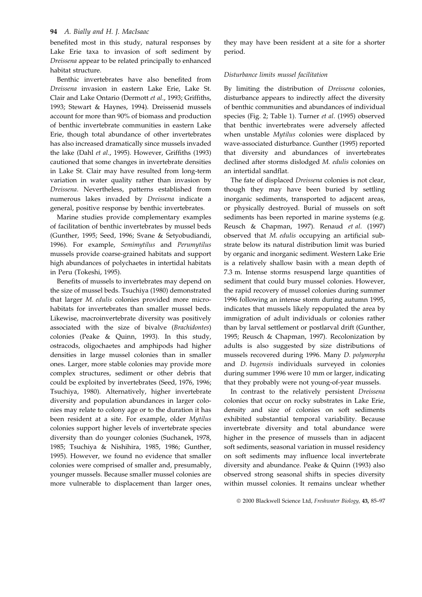benefited most in this study, natural responses by Lake Erie taxa to invasion of soft sediment by Dreissena appear to be related principally to enhanced habitat structure.

Benthic invertebrates have also benefited from Dreissena invasion in eastern Lake Erie, Lake St. Clair and Lake Ontario (Dermott et al., 1993; Griffiths, 1993; Stewart & Haynes, 1994). Dreissenid mussels account for more than 90% of biomass and production of benthic invertebrate communities in eastern Lake Erie, though total abundance of other invertebrates has also increased dramatically since mussels invaded the lake (Dahl et al., 1995). However, Griffiths (1993) cautioned that some changes in invertebrate densities in Lake St. Clair may have resulted from long-term variation in water quality rather than invasion by Dreissena. Nevertheless, patterns established from numerous lakes invaded by Dreissena indicate a general, positive response by benthic invertebrates.

Marine studies provide complementary examples of facilitation of benthic invertebrates by mussel beds (Gunther, 1995; Seed, 1996; Svane & Setyobudiandi, 1996). For example, Semimytilus and Perumytilus mussels provide coarse-grained habitats and support high abundances of polychaetes in intertidal habitats in Peru (Tokeshi, 1995).

Benefits of mussels to invertebrates may depend on the size of mussel beds. Tsuchiya (1980) demonstrated that larger M. edulis colonies provided more microhabitats for invertebrates than smaller mussel beds. Likewise, macroinvertebrate diversity was positively associated with the size of bivalve (Brachidontes) colonies (Peake & Quinn, 1993). In this study, ostracods, oligochaetes and amphipods had higher densities in large mussel colonies than in smaller ones. Larger, more stable colonies may provide more complex structures, sediment or other debris that could be exploited by invertebrates (Seed, 1976, 1996; Tsuchiya, 1980). Alternatively, higher invertebrate diversity and population abundances in larger colonies may relate to colony age or to the duration it has been resident at a site. For example, older Mytilus colonies support higher levels of invertebrate species diversity than do younger colonies (Suchanek, 1978, 1985; Tsuchiya & Nishihira, 1985, 1986; Gunther, 1995). However, we found no evidence that smaller colonies were comprised of smaller and, presumably, younger mussels. Because smaller mussel colonies are more vulnerable to displacement than larger ones,

they may have been resident at a site for a shorter period.

#### Disturbance limits mussel facilitation

By limiting the distribution of Dreissena colonies, disturbance appears to indirectly affect the diversity of benthic communities and abundances of individual species (Fig. 2; Table 1). Turner et al. (1995) observed that benthic invertebrates were adversely affected when unstable Mytilus colonies were displaced by wave-associated disturbance. Gunther (1995) reported that diversity and abundances of invertebrates declined after storms dislodged M. edulis colonies on an intertidal sandflat.

The fate of displaced Dreissena colonies is not clear, though they may have been buried by settling inorganic sediments, transported to adjacent areas, or physically destroyed. Burial of mussels on soft sediments has been reported in marine systems (e.g. Reusch & Chapman, 1997). Renaud et al. (1997) observed that M. edulis occupying an artificial substrate below its natural distribution limit was buried by organic and inorganic sediment. Western Lake Erie is a relatively shallow basin with a mean depth of 7.3 m. Intense storms resuspend large quantities of sediment that could bury mussel colonies. However, the rapid recovery of mussel colonies during summer 1996 following an intense storm during autumn 1995, indicates that mussels likely repopulated the area by immigration of adult individuals or colonies rather than by larval settlement or postlarval drift (Gunther, 1995; Reusch & Chapman, 1997). Recolonization by adults is also suggested by size distributions of mussels recovered during 1996. Many D. polymorpha and D. bugensis individuals surveyed in colonies during summer 1996 were 10 mm or larger, indicating that they probably were not young-of-year mussels.

In contrast to the relatively persistent Dreissena colonies that occur on rocky substrates in Lake Erie, density and size of colonies on soft sediments exhibited substantial temporal variability. Because invertebrate diversity and total abundance were higher in the presence of mussels than in adjacent soft sediments, seasonal variation in mussel residency on soft sediments may influence local invertebrate diversity and abundance. Peake & Quinn (1993) also observed strong seasonal shifts in species diversity within mussel colonies. It remains unclear whether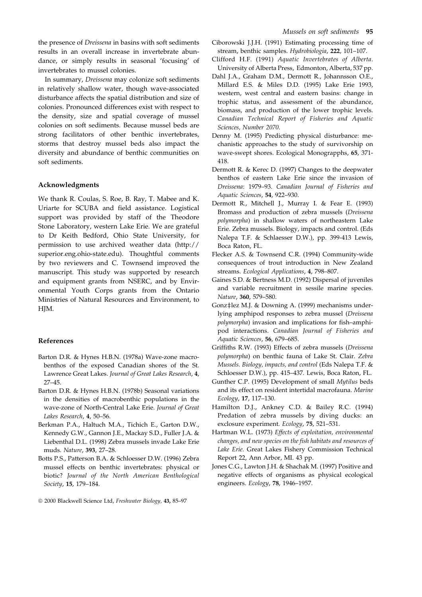the presence of Dreissena in basins with soft sediments results in an overall increase in invertebrate abundance, or simply results in seasonal 'focusing' of invertebrates to mussel colonies.

In summary, Dreissena may colonize soft sediments in relatively shallow water, though wave-associated disturbance affects the spatial distribution and size of colonies. Pronounced differences exist with respect to the density, size and spatial coverage of mussel colonies on soft sediments. Because mussel beds are strong facilitators of other benthic invertebrates, storms that destroy mussel beds also impact the diversity and abundance of benthic communities on soft sediments.

### Acknowledgments

We thank R. Coulas, S. Roe, B. Ray, T. Mabee and K. Uriarte for SCUBA and field assistance. Logistical support was provided by staff of the Theodore Stone Laboratory, western Lake Erie. We are grateful to Dr Keith Bedford, Ohio State University, for permission to use archived weather data (http:// superior.eng.ohio-state.edu). Thoughtful comments by two reviewers and C. Townsend improved the manuscript. This study was supported by research and equipment grants from NSERC, and by Environmental Youth Corps grants from the Ontario Ministries of Natural Resources and Environment, to HIM.

#### References

- Barton D.R. & Hynes H.B.N. (1978a) Wave-zone macrobenthos of the exposed Canadian shores of the St. Lawrence Great Lakes. Journal of Great Lakes Research, 4, 27-45.
- Barton D.R. & Hynes H.B.N. (1978b) Seasonal variations in the densities of macrobenthic populations in the wave-zone of North-Central Lake Erie. Journal of Great Lakes Research, 4, 50-56.
- Berkman P.A., Haltuch M.A., Tichich E., Garton D.W., Kennedy G.W., Gannon J.E., Mackay S.D., Fuller J.A. & Liebenthal D.L. (1998) Zebra mussels invade Lake Erie muds. Nature, 393, 27-28.
- Botts P.S., Patterson B.A. & Schloesser D.W. (1996) Zebra mussel effects on benthic invertebrates: physical or biotic? Journal of the North American Benthological Society, 15, 179-184.
- Ciborowski J.J.H. (1991) Estimating processing time of stream, benthic samples. Hydrobiologia, 222, 101-107.
- Clifford H.F. (1991) Aquatic Invertebrates of Alberta. University of Alberta Press, Edmonton, Alberta, 537 pp.
- Dahl J.A., Graham D.M., Dermott R., Johannsson O.E., Millard E.S. & Miles D.D. (1995) Lake Erie 1993, western, west central and eastern basins: change in trophic status, and assessment of the abundance, biomass, and production of the lower trophic levels. Canadian Technical Report of Fisheries and Aquatic Sciences, Number 2070.
- Denny M. (1995) Predicting physical disturbance: mechanistic approaches to the study of survivorship on wave-swept shores. Ecological Monograpphs, 65, 371- 418.
- Dermott R. & Kerec D. (1997) Changes to the deepwater benthos of eastern Lake Erie since the invasion of Dreissena: 1979-93. Canadian Journal of Fisheries and Aquatic Sciences, 54, 922-930.
- Dermott R., Mitchell J., Murray I. & Fear E. (1993) Bromass and production of zebra mussels (Dreissena polymorpha) in shallow waters of northeastern Lake Erie. Zebra mussels. Biology, impacts and control. (Eds Nalepa T.F. & Schlaesser D.W.), pp. 399-413 Lewis, Boca Raton, FL.
- Flecker A.S. & Townsend C.R. (1994) Community-wide consequences of trout introduction in New Zealand streams. Ecological Applications, 4, 798-807.
- Gaines S.D. & Bertness M.D. (1992) Dispersal of juveniles and variable recruitment in sessile marine species. Nature, 360, 579-580.
- Gonz‡lez M.J. & Downing A. (1999) mechanisms underlying amphipod responses to zebra mussel (Dreissena polymorpha) invasion and implications for fish-amphipod interactions. Canadian Journal of Fisheries and Aquatic Sciences, 56, 679-685.
- Griffiths R.W. (1993) Effects of zebra mussels (Dreissena polymorpha) on benthic fauna of Lake St. Clair. Zebra Mussels. Biology, impacts, and control (Eds Nalepa T.F. & Schloesser D.W.), pp. 415-437. Lewis, Boca Raton, FL.
- Gunther C.P. (1995) Development of small Mytilus beds and its effect on resident intertidal macrofauna. Marine Ecology, 17, 117-130.
- Hamilton D.J., Ankney C.D. & Bailey R.C. (1994) Predation of zebra mussels by diving ducks: an exclosure experiment. Ecology, 75, 521-531.
- Hartman W.L. (1973) Effects of exploitation, environmental changes, and new species on the fish habitats and resources of Lake Erie. Great Lakes Fishery Commission Technical Report 22, Ann Arbor, MI. 43 pp.
- Jones C.G., Lawton J.H. & Shachak M. (1997) Positive and negative effects of organisms as physical ecological engineers. Ecology, 78, 1946-1957.

<sup>&</sup>lt;sup>©</sup> 2000 Blackwell Science Ltd, Freshwater Biology, 43, 85-97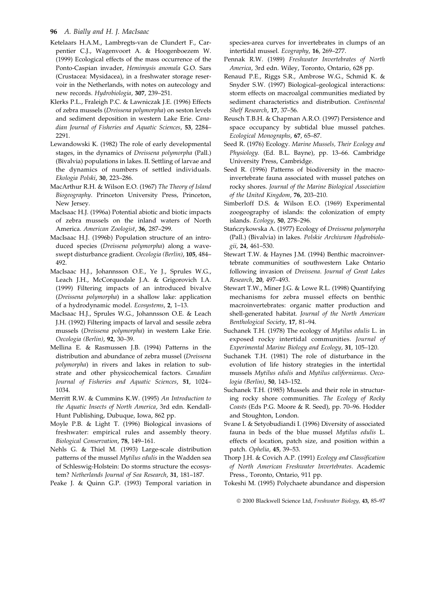- Ketelaars H.A.M., Lambregts-van de Clundert F., Carpentier C.J., Wagenvoort A. & Hoogenboezem W. (1999) Ecological effects of the mass occurrence of the Ponto-Caspian invader, Hemimysis anomala G.O. Sars (Crustacea: Mysidacea), in a freshwater storage reservoir in the Netherlands, with notes on autecology and new records. Hydrobiologia, 307, 239-251.
- Klerks P.L., Fraleigh P.C. & Lawniczak J.E. (1996) Effects of zebra mussels (Dreissena polymorpha) on seston levels and sediment deposition in western Lake Erie. Canadian Journal of Fisheries and Aquatic Sciences, 53, 2284-2291.
- Lewandowski K. (1982) The role of early developmental stages, in the dynamics of Dreissena polymorpha (Pall.) (Bivalvia) populations in lakes. II. Settling of larvae and the dynamics of numbers of settled individuals. Ekologia Polski, 30, 223-286.
- MacArthur R.H. & Wilson E.O. (1967) The Theory of Island Biogeography. Princeton University Press, Princeton, New Jersey.
- MacIsaac H.J. (1996a) Potential abiotic and biotic impacts of zebra mussels on the inland waters of North America. American Zoologist, 36, 287-299.
- MacIsaac H.J. (1996b) Population structure of an introduced species (Dreissena polymorpha) along a waveswept disturbance gradient. Oecologia (Berlin), 105, 484-492.
- MacIsaac H.J., Johannsson O.E., Ye J., Sprules W.G., Leach J.H., McCorquodale J.A. & Grigorovich I.A. (1999) Filtering impacts of an introduced bivalve (Dreissena polymorpha) in a shallow lake: application of a hydrodynamic model. Ecosystems, 2, 1-13.
- MacIsaac H.J., Sprules W.G., Johannsson O.E. & Leach J.H. (1992) Filtering impacts of larval and sessile zebra mussels (Dreissena polymorpha) in western Lake Erie. Oecologia (Berlin), 92, 30-39.
- Mellina E. & Rasmussen J.B. (1994) Patterns in the distribution and abundance of zebra mussel (Dreissena polymorpha) in rivers and lakes in relation to substrate and other physicochemical factors. Canadian Journal of Fisheries and Aquatic Sciences, 51, 1024-1034.
- Merritt R.W. & Cummins K.W. (1995) An Introduction to the Aquatic Insects of North America, 3rd edn. Kendall-Hunt Publishing, Dubuque, Iowa, 862 pp.
- Moyle P.B. & Light T. (1996) Biological invasions of freshwater: empirical rules and assembly theory. Biological Conservation, 78, 149-161.
- Nehls G. & Thiel M. (1993) Large-scale distribution patterns of the mussel Mytilus edulis in the Wadden sea of Schleswig-Holstein: Do storms structure the ecosystem? Netherlands Journal of Sea Research, 31, 181-187.

Peake J. & Quinn G.P. (1993) Temporal variation in

species-area curves for invertebrates in clumps of an intertidal mussel. Ecography, 16, 269-277.

- Pennak R.W. (1989) Freshwater Invertebrates of North America, 3rd edn. Wiley, Toronto, Ontario, 628 pp.
- Renaud P.E., Riggs S.R., Ambrose W.G., Schmid K. & Snyder S.W. (1997) Biological-geological interactions: storm effects on macroalgal communities mediated by sediment characteristics and distribution. Continental Shelf Research, 17, 37-56.
- Reusch T.B.H. & Chapman A.R.O. (1997) Persistence and space occupancy by subtidal blue mussel patches. Ecological Monographs, 67, 65-87.
- Seed R. (1976) Ecology. Marine Mussels, Their Ecology and Physiology. (Ed. B.L. Bayne), pp. 13-66. Cambridge University Press, Cambridge.
- Seed R. (1996) Patterns of biodiversity in the macroinvertebrate fauna associated with mussel patches on rocky shores. Journal of the Marine Biological Association of the United Kingdom, 76, 203-210.
- Simberloff D.S. & Wilson E.O. (1969) Experimental zoogeography of islands: the colonization of empty islands. Ecology, 50, 278-296.
- Stańczykowska A. (1977) Ecology of Dreissena polymorpha (Pall.) (Bivalvia) in lakes. Polskie Archiwum Hydrobiologii, 24, 461-530.
- Stewart T.W. & Haynes J.M. (1994) Benthic macroinvertebrate communities of southwestern Lake Ontario following invasion of Dreissena. Journal of Great Lakes Research, 20, 497-493.
- Stewart T.W., Miner J.G. & Lowe R.L. (1998) Quantifying mechanisms for zebra mussel effects on benthic macroinvertebrates: organic matter production and shell-generated habitat. Journal of the North American Benthological Society, 17, 81-94.
- Suchanek T.H. (1978) The ecology of Mytilus edulis L. in exposed rocky intertidal communities. Journal of Experimental Marine Biology and Ecology, 31, 105-120.
- Suchanek T.H. (1981) The role of disturbance in the evolution of life history strategies in the intertidal mussels Mytilus edulis and Mytilus californianus. Oecologia (Berlin), 50, 143-152.
- Suchanek T.H. (1985) Mussels and their role in structuring rocky shore communities. The Ecology of Rocky Coasts (Eds P.G. Moore & R. Seed), pp. 70-96. Hodder and Stoughton, London.
- Svane I. & Setyobudiandi I. (1996) Diversity of associated fauna in beds of the blue mussel Mytilus edulis L. effects of location, patch size, and position within a patch. Ophelia, 45, 39-53.
- Thorp J.H. & Covich A.P. (1991) Ecology and Classification of North American Freshwater Invertebrates. Academic Press., Toronto, Ontario, 911 pp.
- Tokeshi M. (1995) Polychaete abundance and dispersion